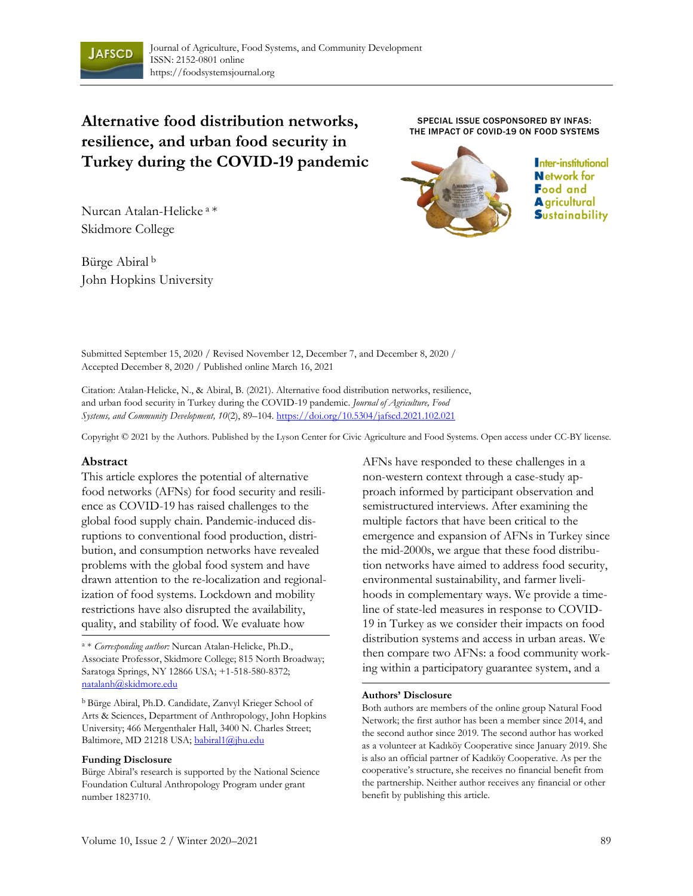

# **Alternative food distribution networks, resilience, and urban food security in Turkey during the COVID-19 pandemic**

Nurcan Atalan-Helicke <sup>a</sup>\* Skidmore College

Bürge Abiral <sup>b</sup> John Hopkins University

SPECIAL ISSUE COSPONSORED BY INFAS: THE IMPACT OF COVID-19 ON FOOD SYSTEMS



Inter-institutional **Network for Food and A** gricultural **S**ustainability

Submitted September 15, 2020 / Revised November 12, December 7, and December 8, 2020 / Accepted December 8, 2020 / Published online March 16, 2021

Citation: Atalan-Helicke, N., & Abiral, B. (2021). Alternative food distribution networks, resilience, and urban food security in Turkey during the COVID-19 pandemic. *Journal of Agriculture, Food Systems, and Community Development, 10*(2), 89–104. https://doi.org/10.5304/jafscd.2021.102.021

Copyright © 2021 by the Authors. Published by the Lyson Center for Civic Agriculture and Food Systems. Open access under CC-BY license.

#### **Abstract**

This article explores the potential of alternative food networks (AFNs) for food security and resilience as COVID-19 has raised challenges to the global food supply chain. Pandemic-induced disruptions to conventional food production, distribution, and consumption networks have revealed problems with the global food system and have drawn attention to the re-localization and regionalization of food systems. Lockdown and mobility restrictions have also disrupted the availability, quality, and stability of food. We evaluate how

<sup>a</sup> \* *Corresponding author:* Nurcan Atalan-Helicke, Ph.D., Associate Professor, Skidmore College; 815 North Broadway; Saratoga Springs, NY 12866 USA; +1-518-580-8372; natalanh@skidmore.edu

<sup>b</sup> Bürge Abiral, Ph.D. Candidate, Zanvyl Krieger School of Arts & Sciences, Department of Anthropology, John Hopkins University; 466 Mergenthaler Hall, 3400 N. Charles Street; Baltimore, MD 21218 USA; babiral1@jhu.edu

#### **Funding Disclosure**

Bürge Abiral's research is supported by the National Science Foundation Cultural Anthropology Program under grant number 1823710.

AFNs have responded to these challenges in a non-western context through a case-study approach informed by participant observation and semistructured interviews. After examining the multiple factors that have been critical to the emergence and expansion of AFNs in Turkey since the mid-2000s, we argue that these food distribution networks have aimed to address food security, environmental sustainability, and farmer livelihoods in complementary ways. We provide a timeline of state-led measures in response to COVID-19 in Turkey as we consider their impacts on food distribution systems and access in urban areas. We then compare two AFNs: a food community working within a participatory guarantee system, and a

#### **Authors' Disclosure**

Both authors are members of the online group Natural Food Network; the first author has been a member since 2014, and the second author since 2019. The second author has worked as a volunteer at Kadıköy Cooperative since January 2019. She is also an official partner of Kadıköy Cooperative. As per the cooperative's structure, she receives no financial benefit from the partnership. Neither author receives any financial or other benefit by publishing this article.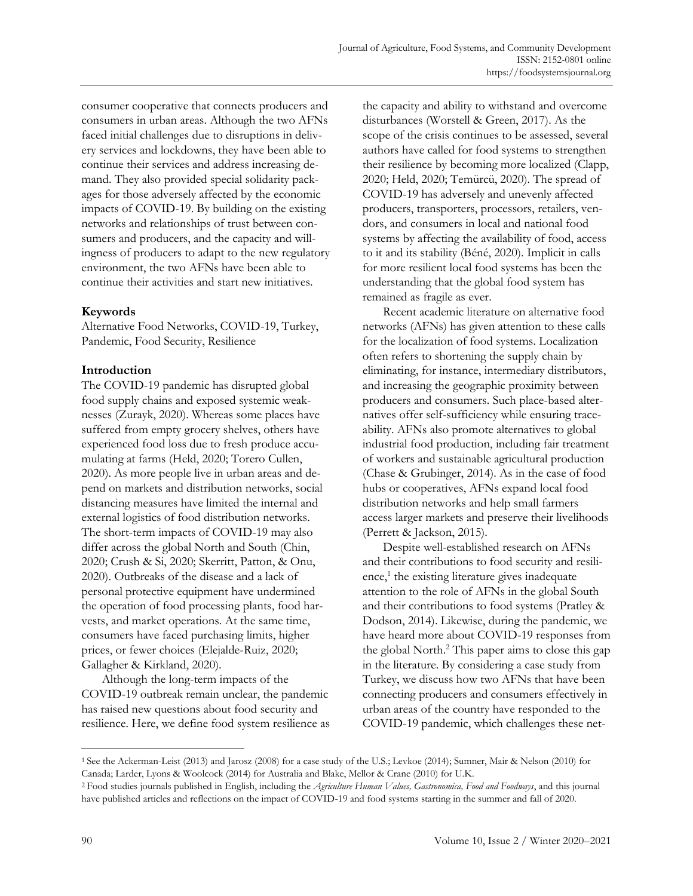consumer cooperative that connects producers and consumers in urban areas. Although the two AFNs faced initial challenges due to disruptions in delivery services and lockdowns, they have been able to continue their services and address increasing demand. They also provided special solidarity packages for those adversely affected by the economic impacts of COVID-19. By building on the existing networks and relationships of trust between consumers and producers, and the capacity and willingness of producers to adapt to the new regulatory environment, the two AFNs have been able to continue their activities and start new initiatives.

## **Keywords**

Alternative Food Networks, COVID-19, Turkey, Pandemic, Food Security, Resilience

## **Introduction**

The COVID-19 pandemic has disrupted global food supply chains and exposed systemic weaknesses (Zurayk, 2020). Whereas some places have suffered from empty grocery shelves, others have experienced food loss due to fresh produce accumulating at farms (Held, 2020; Torero Cullen, 2020). As more people live in urban areas and depend on markets and distribution networks, social distancing measures have limited the internal and external logistics of food distribution networks. The short-term impacts of COVID-19 may also differ across the global North and South (Chin, 2020; Crush & Si, 2020; Skerritt, Patton, & Onu, 2020). Outbreaks of the disease and a lack of personal protective equipment have undermined the operation of food processing plants, food harvests, and market operations. At the same time, consumers have faced purchasing limits, higher prices, or fewer choices (Elejalde-Ruiz, 2020; Gallagher & Kirkland, 2020).

Although the long-term impacts of the COVID-19 outbreak remain unclear, the pandemic has raised new questions about food security and resilience. Here, we define food system resilience as the capacity and ability to withstand and overcome disturbances (Worstell & Green, 2017). As the scope of the crisis continues to be assessed, several authors have called for food systems to strengthen their resilience by becoming more localized (Clapp, 2020; Held, 2020; Temürcü, 2020). The spread of COVID-19 has adversely and unevenly affected producers, transporters, processors, retailers, vendors, and consumers in local and national food systems by affecting the availability of food, access to it and its stability (Béné, 2020). Implicit in calls for more resilient local food systems has been the understanding that the global food system has remained as fragile as ever.

Recent academic literature on alternative food networks (AFNs) has given attention to these calls for the localization of food systems. Localization often refers to shortening the supply chain by eliminating, for instance, intermediary distributors, and increasing the geographic proximity between producers and consumers. Such place-based alternatives offer self-sufficiency while ensuring traceability. AFNs also promote alternatives to global industrial food production, including fair treatment of workers and sustainable agricultural production (Chase & Grubinger, 2014). As in the case of food hubs or cooperatives, AFNs expand local food distribution networks and help small farmers access larger markets and preserve their livelihoods (Perrett & Jackson, 2015).

Despite well-established research on AFNs and their contributions to food security and resilience, 1 the existing literature gives inadequate attention to the role of AFNs in the global South and their contributions to food systems (Pratley & Dodson, 2014). Likewise, during the pandemic, we have heard more about COVID-19 responses from the global North. <sup>2</sup> This paper aims to close this gap in the literature. By considering a case study from Turkey, we discuss how two AFNs that have been connecting producers and consumers effectively in urban areas of the country have responded to the COVID-19 pandemic, which challenges these net-

<sup>1</sup> See the Ackerman-Leist (2013) and Jarosz (2008) for a case study of the U.S.; Levkoe (2014); Sumner, Mair & Nelson (2010) for Canada; Larder, Lyons & Woolcock (2014) for Australia and Blake, Mellor & Crane (2010) for U.K.

<sup>2</sup> Food studies journals published in English, including the *Agriculture Human Values, Gastronomica, Food and Foodways*, and this journal have published articles and reflections on the impact of COVID-19 and food systems starting in the summer and fall of 2020.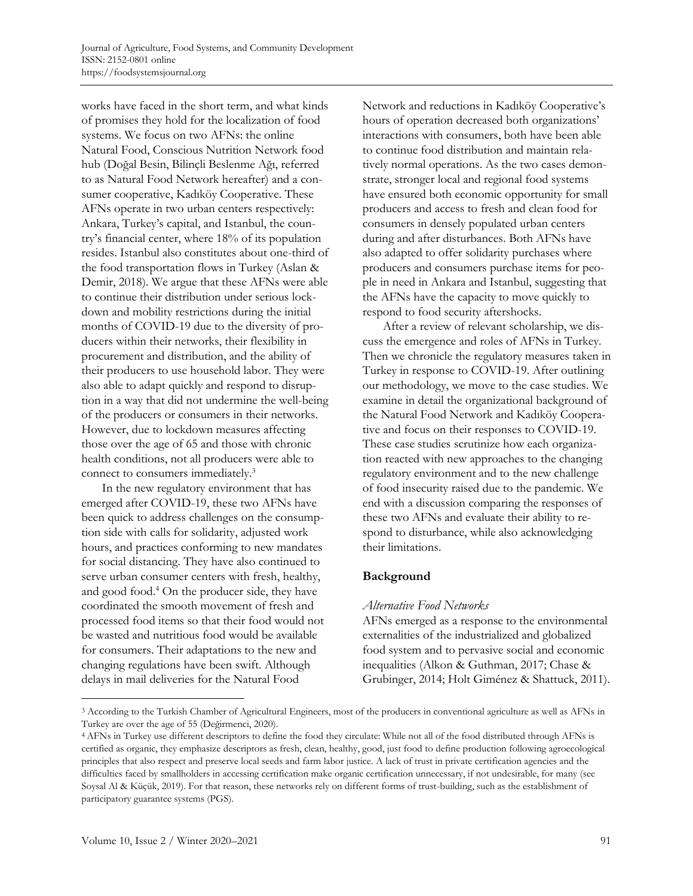works have faced in the short term, and what kinds of promises they hold for the localization of food systems. We focus on two AFNs: the online Natural Food, Conscious Nutrition Network food hub (Doğal Besin, Bilinçli Beslenme Ağı, referred to as Natural Food Network hereafter) and a consumer cooperative, Kadıköy Cooperative. These AFNs operate in two urban centers respectively: Ankara, Turkey's capital, and Istanbul, the country's financial center, where 18% of its population resides. Istanbul also constitutes about one-third of the food transportation flows in Turkey (Aslan & Demir, 2018). We argue that these AFNs were able to continue their distribution under serious lockdown and mobility restrictions during the initial months of COVID-19 due to the diversity of producers within their networks, their flexibility in procurement and distribution, and the ability of their producers to use household labor. They were also able to adapt quickly and respond to disruption in a way that did not undermine the well-being of the producers or consumers in their networks. However, due to lockdown measures affecting those over the age of 65 and those with chronic health conditions, not all producers were able to connect to consumers immediately. 3

In the new regulatory environment that has emerged after COVID-19, these two AFNs have been quick to address challenges on the consumption side with calls for solidarity, adjusted work hours, and practices conforming to new mandates for social distancing. They have also continued to serve urban consumer centers with fresh, healthy, and good food.<sup>4</sup> On the producer side, they have coordinated the smooth movement of fresh and processed food items so that their food would not be wasted and nutritious food would be available for consumers. Their adaptations to the new and changing regulations have been swift. Although delays in mail deliveries for the Natural Food

Network and reductions in Kadıköy Cooperative's hours of operation decreased both organizations' interactions with consumers, both have been able to continue food distribution and maintain relatively normal operations. As the two cases demonstrate, stronger local and regional food systems have ensured both economic opportunity for small producers and access to fresh and clean food for consumers in densely populated urban centers during and after disturbances. Both AFNs have also adapted to offer solidarity purchases where producers and consumers purchase items for people in need in Ankara and Istanbul, suggesting that the AFNs have the capacity to move quickly to respond to food security aftershocks.

After a review of relevant scholarship, we discuss the emergence and roles of AFNs in Turkey. Then we chronicle the regulatory measures taken in Turkey in response to COVID-19. After outlining our methodology, we move to the case studies. We examine in detail the organizational background of the Natural Food Network and Kadıköy Cooperative and focus on their responses to COVID-19. These case studies scrutinize how each organization reacted with new approaches to the changing regulatory environment and to the new challenge of food insecurity raised due to the pandemic. We end with a discussion comparing the responses of these two AFNs and evaluate their ability to respond to disturbance, while also acknowledging their limitations.

## **Background**

### *Alternative Food Networks*

AFNs emerged as a response to the environmental externalities of the industrialized and globalized food system and to pervasive social and economic inequalities (Alkon & Guthman, 2017; Chase & Grubinger, 2014; Holt Giménez & Shattuck, 2011).

<sup>3</sup> According to the Turkish Chamber of Agricultural Engineers, most of the producers in conventional agriculture as well as AFNs in Turkey are over the age of 55 (Değirmenci, 2020).

<sup>4</sup> AFNs in Turkey use different descriptors to define the food they circulate: While not all of the food distributed through AFNs is certified as organic, they emphasize descriptors as fresh, clean, healthy, good, just food to define production following agroecological principles that also respect and preserve local seeds and farm labor justice. A lack of trust in private certification agencies and the difficulties faced by smallholders in accessing certification make organic certification unnecessary, if not undesirable, for many (see Soysal Al & Küçük, 2019). For that reason, these networks rely on different forms of trust-building, such as the establishment of participatory guarantee systems (PGS).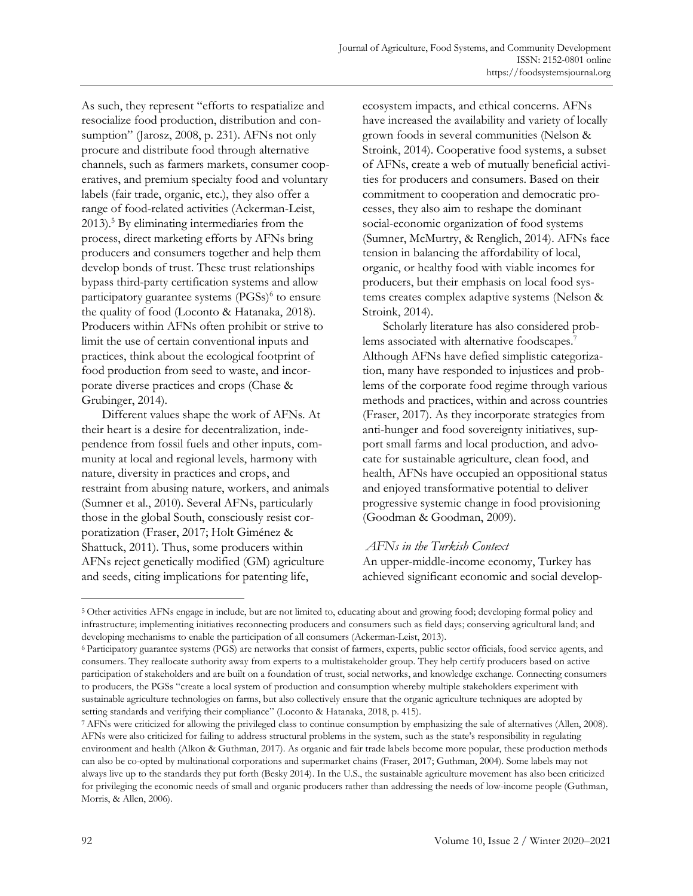As such, they represent "efforts to respatialize and resocialize food production, distribution and consumption" (Jarosz, 2008, p. 231). AFNs not only procure and distribute food through alternative channels, such as farmers markets, consumer cooperatives, and premium specialty food and voluntary labels (fair trade, organic, etc.), they also offer a range of food-related activities (Ackerman-Leist, 2013).<sup>5</sup> By eliminating intermediaries from the process, direct marketing efforts by AFNs bring producers and consumers together and help them develop bonds of trust. These trust relationships bypass third-party certification systems and allow participatory guarantee systems (PGSs)<sup>6</sup> to ensure the quality of food (Loconto & Hatanaka, 2018). Producers within AFNs often prohibit or strive to limit the use of certain conventional inputs and practices, think about the ecological footprint of food production from seed to waste, and incorporate diverse practices and crops (Chase & Grubinger, 2014).

Different values shape the work of AFNs. At their heart is a desire for decentralization, independence from fossil fuels and other inputs, community at local and regional levels, harmony with nature, diversity in practices and crops, and restraint from abusing nature, workers, and animals (Sumner et al., 2010). Several AFNs, particularly those in the global South, consciously resist corporatization (Fraser, 2017; Holt Giménez & Shattuck, 2011). Thus, some producers within AFNs reject genetically modified (GM) agriculture and seeds, citing implications for patenting life,

ecosystem impacts, and ethical concerns. AFNs have increased the availability and variety of locally grown foods in several communities (Nelson & Stroink, 2014). Cooperative food systems, a subset of AFNs, create a web of mutually beneficial activities for producers and consumers. Based on their commitment to cooperation and democratic processes, they also aim to reshape the dominant social-economic organization of food systems (Sumner, McMurtry, & Renglich, 2014). AFNs face tension in balancing the affordability of local, organic, or healthy food with viable incomes for producers, but their emphasis on local food systems creates complex adaptive systems (Nelson & Stroink, 2014).

Scholarly literature has also considered problems associated with alternative foodscapes. 7 Although AFNs have defied simplistic categorization, many have responded to injustices and problems of the corporate food regime through various methods and practices, within and across countries (Fraser, 2017). As they incorporate strategies from anti-hunger and food sovereignty initiatives, support small farms and local production, and advocate for sustainable agriculture, clean food, and health, AFNs have occupied an oppositional status and enjoyed transformative potential to deliver progressive systemic change in food provisioning (Goodman & Goodman, 2009).

### *AFNs in the Turkish Context*

An upper-middle-income economy, Turkey has achieved significant economic and social develop-

<sup>5</sup> Other activities AFNs engage in include, but are not limited to, educating about and growing food; developing formal policy and infrastructure; implementing initiatives reconnecting producers and consumers such as field days; conserving agricultural land; and developing mechanisms to enable the participation of all consumers (Ackerman-Leist, 2013).

<sup>6</sup> Participatory guarantee systems (PGS) are networks that consist of farmers, experts, public sector officials, food service agents, and consumers. They reallocate authority away from experts to a multistakeholder group. They help certify producers based on active participation of stakeholders and are built on a foundation of trust, social networks, and knowledge exchange. Connecting consumers to producers, the PGSs "create a local system of production and consumption whereby multiple stakeholders experiment with sustainable agriculture technologies on farms, but also collectively ensure that the organic agriculture techniques are adopted by setting standards and verifying their compliance" (Loconto & Hatanaka, 2018, p. 415).

<sup>7</sup> AFNs were criticized for allowing the privileged class to continue consumption by emphasizing the sale of alternatives (Allen, 2008). AFNs were also criticized for failing to address structural problems in the system, such as the state's responsibility in regulating environment and health (Alkon & Guthman, 2017). As organic and fair trade labels become more popular, these production methods can also be co-opted by multinational corporations and supermarket chains (Fraser, 2017; Guthman, 2004). Some labels may not always live up to the standards they put forth (Besky 2014). In the U.S., the sustainable agriculture movement has also been criticized for privileging the economic needs of small and organic producers rather than addressing the needs of low-income people (Guthman, Morris, & Allen, 2006).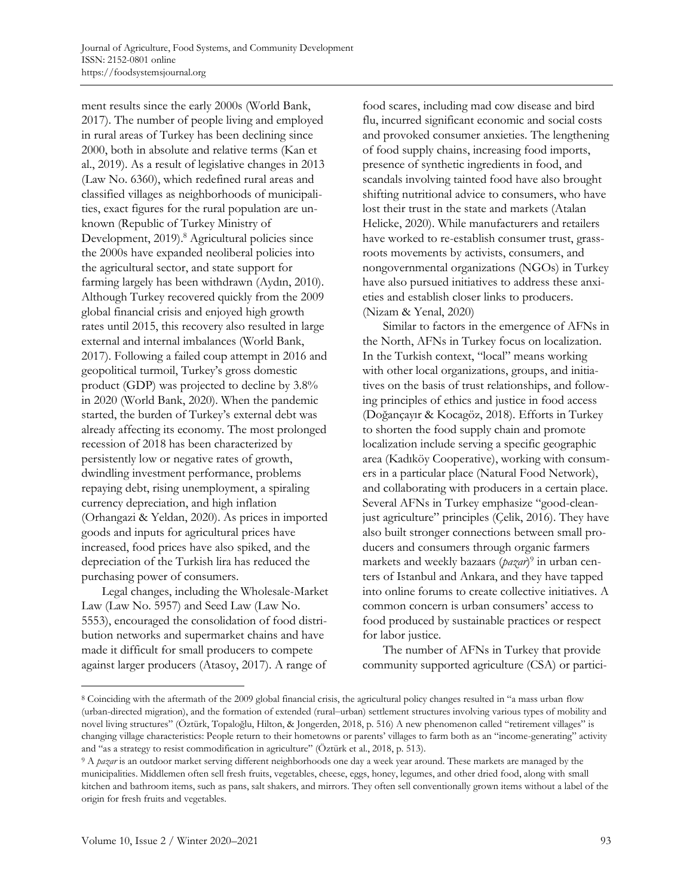ment results since the early 2000s (World Bank, 2017). The number of people living and employed in rural areas of Turkey has been declining since 2000, both in absolute and relative terms (Kan et al., 2019). As a result of legislative changes in 2013 (Law No. 6360), which redefined rural areas and classified villages as neighborhoods of municipalities, exact figures for the rural population are unknown (Republic of Turkey Ministry of Development, 2019).<sup>8</sup> Agricultural policies since the 2000s have expanded neoliberal policies into the agricultural sector, and state support for farming largely has been withdrawn (Aydın, 2010). Although Turkey recovered quickly from the 2009 global financial crisis and enjoyed high growth rates until 2015, this recovery also resulted in large external and internal imbalances (World Bank, 2017). Following a failed coup attempt in 2016 and geopolitical turmoil, Turkey's gross domestic product (GDP) was projected to decline by 3.8% in 2020 (World Bank, 2020). When the pandemic started, the burden of Turkey's external debt was already affecting its economy. The most prolonged recession of 2018 has been characterized by persistently low or negative rates of growth, dwindling investment performance, problems repaying debt, rising unemployment, a spiraling currency depreciation, and high inflation (Orhangazi & Yeldan, 2020). As prices in imported goods and inputs for agricultural prices have increased, food prices have also spiked, and the depreciation of the Turkish lira has reduced the purchasing power of consumers.

Legal changes, including the Wholesale-Market Law (Law No. 5957) and Seed Law (Law No. 5553), encouraged the consolidation of food distribution networks and supermarket chains and have made it difficult for small producers to compete against larger producers (Atasoy, 2017). A range of

food scares, including mad cow disease and bird flu, incurred significant economic and social costs and provoked consumer anxieties. The lengthening of food supply chains, increasing food imports, presence of synthetic ingredients in food, and scandals involving tainted food have also brought shifting nutritional advice to consumers, who have lost their trust in the state and markets (Atalan Helicke, 2020). While manufacturers and retailers have worked to re-establish consumer trust, grassroots movements by activists, consumers, and nongovernmental organizations (NGOs) in Turkey have also pursued initiatives to address these anxieties and establish closer links to producers. (Nizam & Yenal, 2020)

Similar to factors in the emergence of AFNs in the North, AFNs in Turkey focus on localization. In the Turkish context, "local" means working with other local organizations, groups, and initiatives on the basis of trust relationships, and following principles of ethics and justice in food access (Doğançayır & Kocagöz, 2018). Efforts in Turkey to shorten the food supply chain and promote localization include serving a specific geographic area (Kadıköy Cooperative), working with consumers in a particular place (Natural Food Network), and collaborating with producers in a certain place. Several AFNs in Turkey emphasize "good-cleanjust agriculture" principles (Çelik, 2016). They have also built stronger connections between small producers and consumers through organic farmers markets and weekly bazaars (*pazar*) 9 in urban centers of Istanbul and Ankara, and they have tapped into online forums to create collective initiatives. A common concern is urban consumers' access to food produced by sustainable practices or respect for labor justice.

The number of AFNs in Turkey that provide community supported agriculture (CSA) or partici-

<sup>8</sup> Coinciding with the aftermath of the 2009 global financial crisis, the agricultural policy changes resulted in "a mass urban flow (urban-directed migration), and the formation of extended (rural‒urban) settlement structures involving various types of mobility and novel living structures" (Öztürk, Topaloğlu, Hilton, & Jongerden, 2018, p. 516) A new phenomenon called "retirement villages" is changing village characteristics: People return to their hometowns or parents' villages to farm both as an "income-generating" activity and "as a strategy to resist commodification in agriculture" (Öztürk et al., 2018, p. 513).

<sup>9</sup> A *pazar* is an outdoor market serving different neighborhoods one day a week year around. These markets are managed by the municipalities. Middlemen often sell fresh fruits, vegetables, cheese, eggs, honey, legumes, and other dried food, along with small kitchen and bathroom items, such as pans, salt shakers, and mirrors. They often sell conventionally grown items without a label of the origin for fresh fruits and vegetables.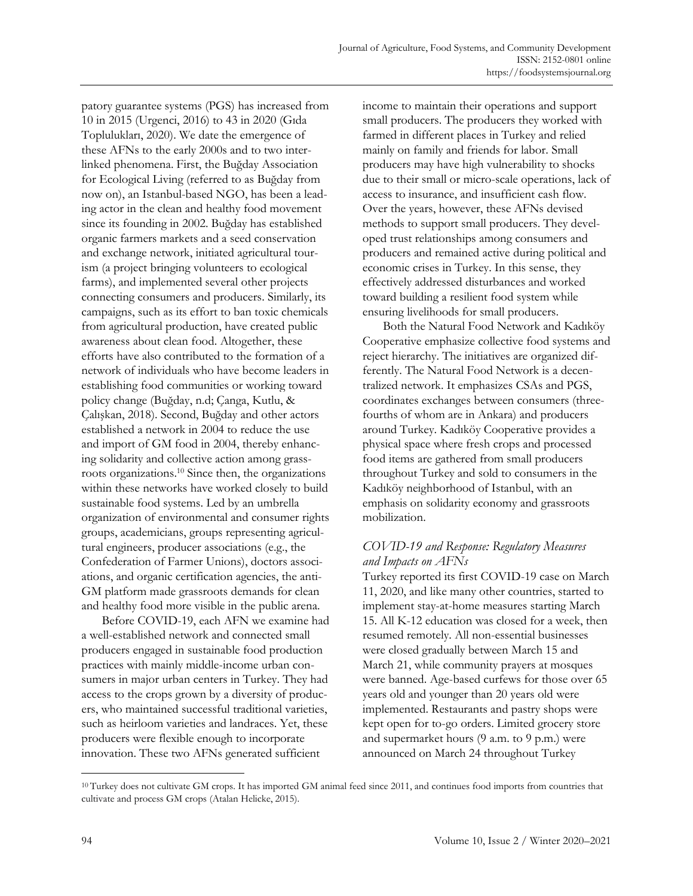patory guarantee systems (PGS) has increased from 10 in 2015 (Urgenci, 2016) to 43 in 2020 (Gıda Toplulukları, 2020). We date the emergence of these AFNs to the early 2000s and to two interlinked phenomena. First, the Buğday Association for Ecological Living (referred to as Buğday from now on), an Istanbul-based NGO, has been a leading actor in the clean and healthy food movement since its founding in 2002. Buğday has established organic farmers markets and a seed conservation and exchange network, initiated agricultural tourism (a project bringing volunteers to ecological farms), and implemented several other projects connecting consumers and producers. Similarly, its campaigns, such as its effort to ban toxic chemicals from agricultural production, have created public awareness about clean food. Altogether, these efforts have also contributed to the formation of a network of individuals who have become leaders in establishing food communities or working toward policy change (Buğday, n.d; Çanga, Kutlu, & Çalışkan, 2018). Second, Buğday and other actors established a network in 2004 to reduce the use and import of GM food in 2004, thereby enhancing solidarity and collective action among grassroots organizations.<sup>10</sup> Since then, the organizations within these networks have worked closely to build sustainable food systems. Led by an umbrella organization of environmental and consumer rights groups, academicians, groups representing agricultural engineers, producer associations (e.g., the Confederation of Farmer Unions), doctors associations, and organic certification agencies, the anti-GM platform made grassroots demands for clean and healthy food more visible in the public arena.

Before COVID-19, each AFN we examine had a well-established network and connected small producers engaged in sustainable food production practices with mainly middle-income urban consumers in major urban centers in Turkey. They had access to the crops grown by a diversity of producers, who maintained successful traditional varieties, such as heirloom varieties and landraces. Yet, these producers were flexible enough to incorporate innovation. These two AFNs generated sufficient

income to maintain their operations and support small producers. The producers they worked with farmed in different places in Turkey and relied mainly on family and friends for labor. Small producers may have high vulnerability to shocks due to their small or micro-scale operations, lack of access to insurance, and insufficient cash flow. Over the years, however, these AFNs devised methods to support small producers. They developed trust relationships among consumers and producers and remained active during political and economic crises in Turkey. In this sense, they effectively addressed disturbances and worked toward building a resilient food system while ensuring livelihoods for small producers.

Both the Natural Food Network and Kadıköy Cooperative emphasize collective food systems and reject hierarchy. The initiatives are organized differently. The Natural Food Network is a decentralized network. It emphasizes CSAs and PGS, coordinates exchanges between consumers (threefourths of whom are in Ankara) and producers around Turkey. Kadıköy Cooperative provides a physical space where fresh crops and processed food items are gathered from small producers throughout Turkey and sold to consumers in the Kadıköy neighborhood of Istanbul, with an emphasis on solidarity economy and grassroots mobilization.

## *COVID-19 and Response: Regulatory Measures and Impacts on AFNs*

Turkey reported its first COVID-19 case on March 11, 2020, and like many other countries, started to implement stay-at-home measures starting March 15. All K-12 education was closed for a week, then resumed remotely. All non-essential businesses were closed gradually between March 15 and March 21, while community prayers at mosques were banned. Age-based curfews for those over 65 years old and younger than 20 years old were implemented. Restaurants and pastry shops were kept open for to-go orders. Limited grocery store and supermarket hours (9 a.m. to 9 p.m.) were announced on March 24 throughout Turkey

<sup>10</sup> Turkey does not cultivate GM crops. It has imported GM animal feed since 2011, and continues food imports from countries that cultivate and process GM crops (Atalan Helicke, 2015).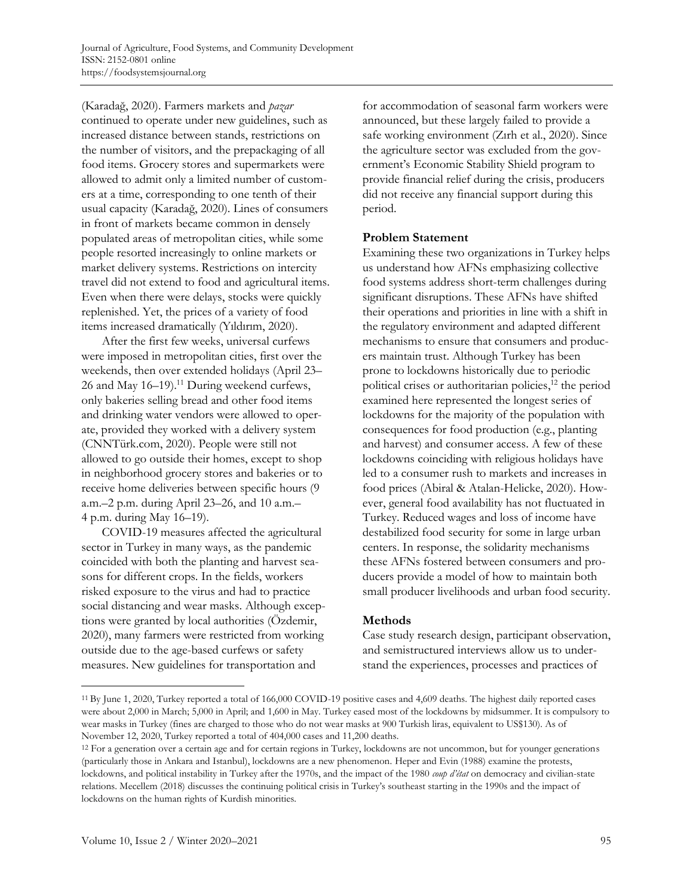(Karadağ, 2020). Farmers markets and *pazar* continued to operate under new guidelines, such as increased distance between stands, restrictions on the number of visitors, and the prepackaging of all food items. Grocery stores and supermarkets were allowed to admit only a limited number of customers at a time, corresponding to one tenth of their usual capacity (Karadağ, 2020). Lines of consumers in front of markets became common in densely populated areas of metropolitan cities, while some people resorted increasingly to online markets or market delivery systems. Restrictions on intercity travel did not extend to food and agricultural items. Even when there were delays, stocks were quickly replenished. Yet, the prices of a variety of food items increased dramatically (Yıldırım, 2020).

After the first few weeks, universal curfews were imposed in metropolitan cities, first over the weekends, then over extended holidays (April 23– 26 and May 16–19). <sup>11</sup> During weekend curfews, only bakeries selling bread and other food items and drinking water vendors were allowed to operate, provided they worked with a delivery system (CNNTürk.com, 2020). People were still not allowed to go outside their homes, except to shop in neighborhood grocery stores and bakeries or to receive home deliveries between specific hours (9 a.m.–2 p.m. during April 23–26, and 10 a.m.– 4 p.m. during May 16–19).

COVID-19 measures affected the agricultural sector in Turkey in many ways, as the pandemic coincided with both the planting and harvest seasons for different crops. In the fields, workers risked exposure to the virus and had to practice social distancing and wear masks. Although exceptions were granted by local authorities (Özdemir, 2020), many farmers were restricted from working outside due to the age-based curfews or safety measures. New guidelines for transportation and

for accommodation of seasonal farm workers were announced, but these largely failed to provide a safe working environment (Zırh et al., 2020). Since the agriculture sector was excluded from the government's Economic Stability Shield program to provide financial relief during the crisis, producers did not receive any financial support during this period.

## **Problem Statement**

Examining these two organizations in Turkey helps us understand how AFNs emphasizing collective food systems address short-term challenges during significant disruptions. These AFNs have shifted their operations and priorities in line with a shift in the regulatory environment and adapted different mechanisms to ensure that consumers and producers maintain trust. Although Turkey has been prone to lockdowns historically due to periodic political crises or authoritarian policies, <sup>12</sup> the period examined here represented the longest series of lockdowns for the majority of the population with consequences for food production (e.g., planting and harvest) and consumer access. A few of these lockdowns coinciding with religious holidays have led to a consumer rush to markets and increases in food prices (Abiral & Atalan-Helicke, 2020). However, general food availability has not fluctuated in Turkey. Reduced wages and loss of income have destabilized food security for some in large urban centers. In response, the solidarity mechanisms these AFNs fostered between consumers and producers provide a model of how to maintain both small producer livelihoods and urban food security.

### **Methods**

Case study research design, participant observation, and semistructured interviews allow us to understand the experiences, processes and practices of

<sup>11</sup> By June 1, 2020, Turkey reported a total of 166,000 COVID-19 positive cases and 4,609 deaths. The highest daily reported cases were about 2,000 in March; 5,000 in April; and 1,600 in May. Turkey eased most of the lockdowns by midsummer. It is compulsory to wear masks in Turkey (fines are charged to those who do not wear masks at 900 Turkish liras, equivalent to US\$130). As of November 12, 2020, Turkey reported a total of 404,000 cases and 11,200 deaths.

<sup>12</sup> For a generation over a certain age and for certain regions in Turkey, lockdowns are not uncommon, but for younger generations (particularly those in Ankara and Istanbul), lockdowns are a new phenomenon. Heper and Evin (1988) examine the protests, lockdowns, and political instability in Turkey after the 1970s, and the impact of the 1980 *coup d'état* on democracy and civilian-state relations. Mecellem (2018) discusses the continuing political crisis in Turkey's southeast starting in the 1990s and the impact of lockdowns on the human rights of Kurdish minorities.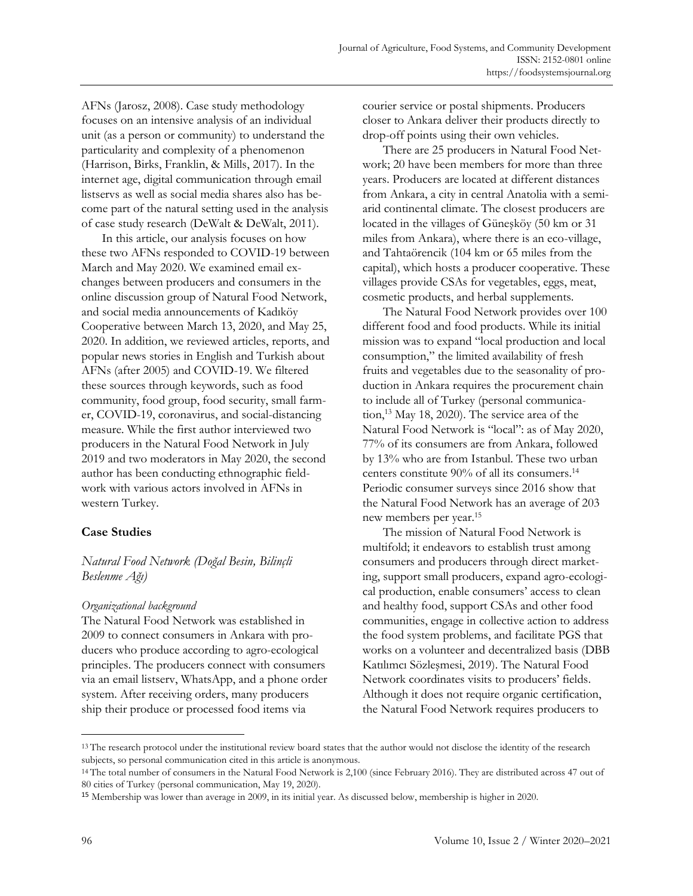AFNs (Jarosz, 2008). Case study methodology focuses on an intensive analysis of an individual unit (as a person or community) to understand the particularity and complexity of a phenomenon (Harrison, Birks, Franklin, & Mills, 2017). In the internet age, digital communication through email listservs as well as social media shares also has become part of the natural setting used in the analysis of case study research (DeWalt & DeWalt, 2011).

In this article, our analysis focuses on how these two AFNs responded to COVID-19 between March and May 2020. We examined email exchanges between producers and consumers in the online discussion group of Natural Food Network, and social media announcements of Kadıköy Cooperative between March 13, 2020, and May 25, 2020. In addition, we reviewed articles, reports, and popular news stories in English and Turkish about AFNs (after 2005) and COVID-19. We filtered these sources through keywords, such as food community, food group, food security, small farmer, COVID-19, coronavirus, and social-distancing measure. While the first author interviewed two producers in the Natural Food Network in July 2019 and two moderators in May 2020, the second author has been conducting ethnographic fieldwork with various actors involved in AFNs in western Turkey.

## **Case Studies**

# *Natural Food Network (Doğal Besin, Bilinçli Beslenme Ağı)*

## *Organizational background*

The Natural Food Network was established in 2009 to connect consumers in Ankara with producers who produce according to agro-ecological principles. The producers connect with consumers via an email listserv, WhatsApp, and a phone order system. After receiving orders, many producers ship their produce or processed food items via

courier service or postal shipments. Producers closer to Ankara deliver their products directly to drop-off points using their own vehicles.

There are 25 producers in Natural Food Network; 20 have been members for more than three years. Producers are located at different distances from Ankara, a city in central Anatolia with a semiarid continental climate. The closest producers are located in the villages of Güneşköy (50 km or 31 miles from Ankara), where there is an eco-village, and Tahtaörencik (104 km or 65 miles from the capital), which hosts a producer cooperative. These villages provide CSAs for vegetables, eggs, meat, cosmetic products, and herbal supplements.

The Natural Food Network provides over 100 different food and food products. While its initial mission was to expand "local production and local consumption," the limited availability of fresh fruits and vegetables due to the seasonality of production in Ankara requires the procurement chain to include all of Turkey (personal communication,<sup>13</sup> May 18, 2020). The service area of the Natural Food Network is "local": as of May 2020, 77% of its consumers are from Ankara, followed by 13% who are from Istanbul. These two urban centers constitute 90% of all its consumers. 14 Periodic consumer surveys since 2016 show that the Natural Food Network has an average of 203 new members per year. 15

The mission of Natural Food Network is multifold; it endeavors to establish trust among consumers and producers through direct marketing, support small producers, expand agro-ecological production, enable consumers' access to clean and healthy food, support CSAs and other food communities, engage in collective action to address the food system problems, and facilitate PGS that works on a volunteer and decentralized basis (DBB Katılımcı Sözleşmesi, 2019). The Natural Food Network coordinates visits to producers' fields. Although it does not require organic certification, the Natural Food Network requires producers to

<sup>&</sup>lt;sup>13</sup> The research protocol under the institutional review board states that the author would not disclose the identity of the research subjects, so personal communication cited in this article is anonymous.

<sup>14</sup> The total number of consumers in the Natural Food Network is 2,100 (since February 2016). They are distributed across 47 out of 80 cities of Turkey (personal communication, May 19, 2020).

<sup>15</sup> Membership was lower than average in 2009, in its initial year. As discussed below, membership is higher in 2020.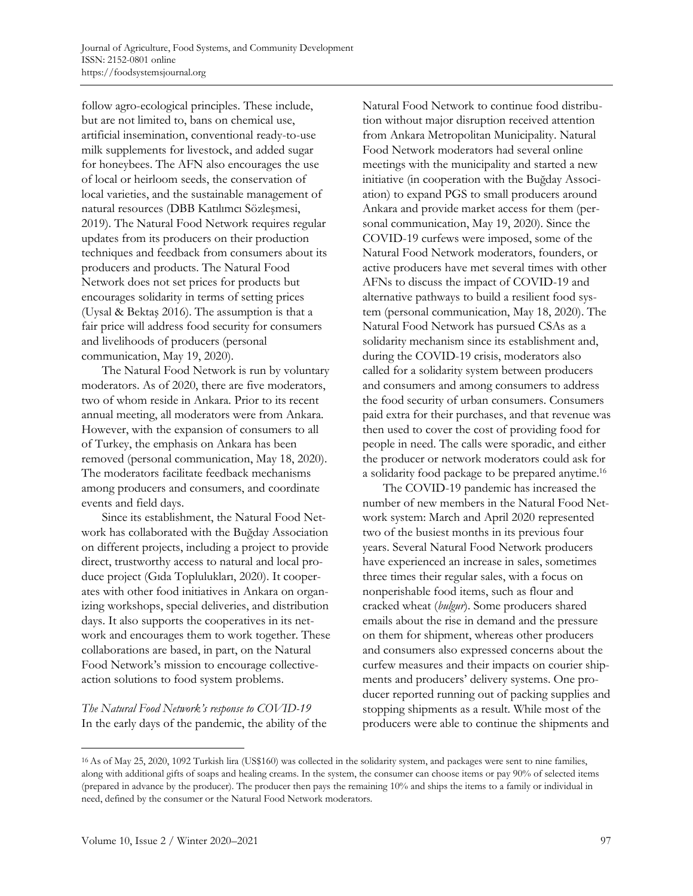follow agro-ecological principles. These include, but are not limited to, bans on chemical use, artificial insemination, conventional ready-to-use milk supplements for livestock, and added sugar for honeybees. The AFN also encourages the use of local or heirloom seeds, the conservation of local varieties, and the sustainable management of natural resources (DBB Katılımcı Sözleşmesi, 2019). The Natural Food Network requires regular updates from its producers on their production techniques and feedback from consumers about its producers and products. The Natural Food Network does not set prices for products but encourages solidarity in terms of setting prices (Uysal & Bektaş 2016). The assumption is that a fair price will address food security for consumers and livelihoods of producers (personal communication, May 19, 2020).

The Natural Food Network is run by voluntary moderators. As of 2020, there are five moderators, two of whom reside in Ankara. Prior to its recent annual meeting, all moderators were from Ankara. However, with the expansion of consumers to all of Turkey, the emphasis on Ankara has been removed (personal communication, May 18, 2020). The moderators facilitate feedback mechanisms among producers and consumers, and coordinate events and field days.

Since its establishment, the Natural Food Network has collaborated with the Buğday Association on different projects, including a project to provide direct, trustworthy access to natural and local produce project (Gıda Toplulukları, 2020). It cooperates with other food initiatives in Ankara on organizing workshops, special deliveries, and distribution days. It also supports the cooperatives in its network and encourages them to work together. These collaborations are based, in part, on the Natural Food Network's mission to encourage collectiveaction solutions to food system problems.

*The Natural Food Network's response to COVID-19* In the early days of the pandemic, the ability of the Natural Food Network to continue food distribution without major disruption received attention from Ankara Metropolitan Municipality. Natural Food Network moderators had several online meetings with the municipality and started a new initiative (in cooperation with the Buğday Association) to expand PGS to small producers around Ankara and provide market access for them (personal communication, May 19, 2020). Since the COVID-19 curfews were imposed, some of the Natural Food Network moderators, founders, or active producers have met several times with other AFNs to discuss the impact of COVID-19 and alternative pathways to build a resilient food system (personal communication, May 18, 2020). The Natural Food Network has pursued CSAs as a solidarity mechanism since its establishment and, during the COVID-19 crisis, moderators also called for a solidarity system between producers and consumers and among consumers to address the food security of urban consumers. Consumers paid extra for their purchases, and that revenue was then used to cover the cost of providing food for people in need. The calls were sporadic, and either the producer or network moderators could ask for a solidarity food package to be prepared anytime.<sup>16</sup>

The COVID-19 pandemic has increased the number of new members in the Natural Food Network system: March and April 2020 represented two of the busiest months in its previous four years. Several Natural Food Network producers have experienced an increase in sales, sometimes three times their regular sales, with a focus on nonperishable food items, such as flour and cracked wheat (*bulgur*). Some producers shared emails about the rise in demand and the pressure on them for shipment, whereas other producers and consumers also expressed concerns about the curfew measures and their impacts on courier shipments and producers' delivery systems. One producer reported running out of packing supplies and stopping shipments as a result. While most of the producers were able to continue the shipments and

<sup>16</sup> As of May 25, 2020, 1092 Turkish lira (US\$160) was collected in the solidarity system, and packages were sent to nine families, along with additional gifts of soaps and healing creams. In the system, the consumer can choose items or pay 90% of selected items (prepared in advance by the producer). The producer then pays the remaining 10% and ships the items to a family or individual in need, defined by the consumer or the Natural Food Network moderators.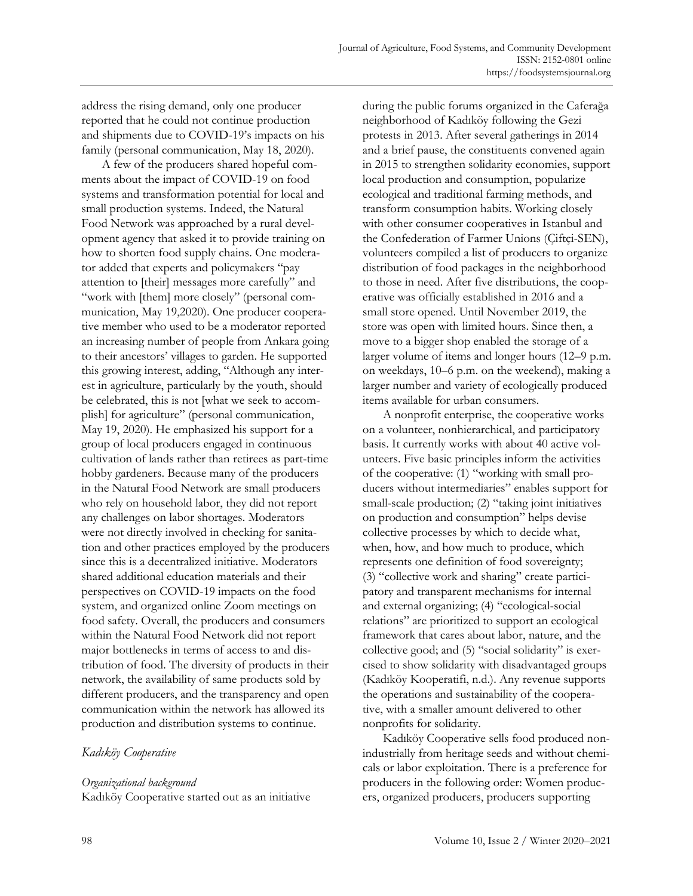address the rising demand, only one producer reported that he could not continue production and shipments due to COVID-19's impacts on his family (personal communication, May 18, 2020).

A few of the producers shared hopeful comments about the impact of COVID-19 on food systems and transformation potential for local and small production systems. Indeed, the Natural Food Network was approached by a rural development agency that asked it to provide training on how to shorten food supply chains. One moderator added that experts and policymakers "pay attention to [their] messages more carefully" and "work with [them] more closely" (personal communication, May 19,2020). One producer cooperative member who used to be a moderator reported an increasing number of people from Ankara going to their ancestors' villages to garden. He supported this growing interest, adding, "Although any interest in agriculture, particularly by the youth, should be celebrated, this is not [what we seek to accomplish] for agriculture" (personal communication, May 19, 2020). He emphasized his support for a group of local producers engaged in continuous cultivation of lands rather than retirees as part-time hobby gardeners. Because many of the producers in the Natural Food Network are small producers who rely on household labor, they did not report any challenges on labor shortages. Moderators were not directly involved in checking for sanitation and other practices employed by the producers since this is a decentralized initiative. Moderators shared additional education materials and their perspectives on COVID-19 impacts on the food system, and organized online Zoom meetings on food safety. Overall, the producers and consumers within the Natural Food Network did not report major bottlenecks in terms of access to and distribution of food. The diversity of products in their network, the availability of same products sold by different producers, and the transparency and open communication within the network has allowed its production and distribution systems to continue.

## *Kadıköy Cooperative*

*Organizational background* Kadıköy Cooperative started out as an initiative during the public forums organized in the Caferağa neighborhood of Kadıköy following the Gezi protests in 2013. After several gatherings in 2014 and a brief pause, the constituents convened again in 2015 to strengthen solidarity economies, support local production and consumption, popularize ecological and traditional farming methods, and transform consumption habits. Working closely with other consumer cooperatives in Istanbul and the Confederation of Farmer Unions (Çiftçi-SEN), volunteers compiled a list of producers to organize distribution of food packages in the neighborhood to those in need. After five distributions, the cooperative was officially established in 2016 and a small store opened. Until November 2019, the store was open with limited hours. Since then, a move to a bigger shop enabled the storage of a larger volume of items and longer hours (12–9 p.m. on weekdays, 10–6 p.m. on the weekend), making a larger number and variety of ecologically produced items available for urban consumers.

A nonprofit enterprise, the cooperative works on a volunteer, nonhierarchical, and participatory basis. It currently works with about 40 active volunteers. Five basic principles inform the activities of the cooperative: (1) "working with small producers without intermediaries" enables support for small-scale production; (2) "taking joint initiatives on production and consumption" helps devise collective processes by which to decide what, when, how, and how much to produce, which represents one definition of food sovereignty; (3) "collective work and sharing" create participatory and transparent mechanisms for internal and external organizing; (4) "ecological-social relations" are prioritized to support an ecological framework that cares about labor, nature, and the collective good; and (5) "social solidarity" is exercised to show solidarity with disadvantaged groups (Kadıköy Kooperatifi, n.d.). Any revenue supports the operations and sustainability of the cooperative, with a smaller amount delivered to other nonprofits for solidarity.

Kadıköy Cooperative sells food produced nonindustrially from heritage seeds and without chemicals or labor exploitation. There is a preference for producers in the following order: Women producers, organized producers, producers supporting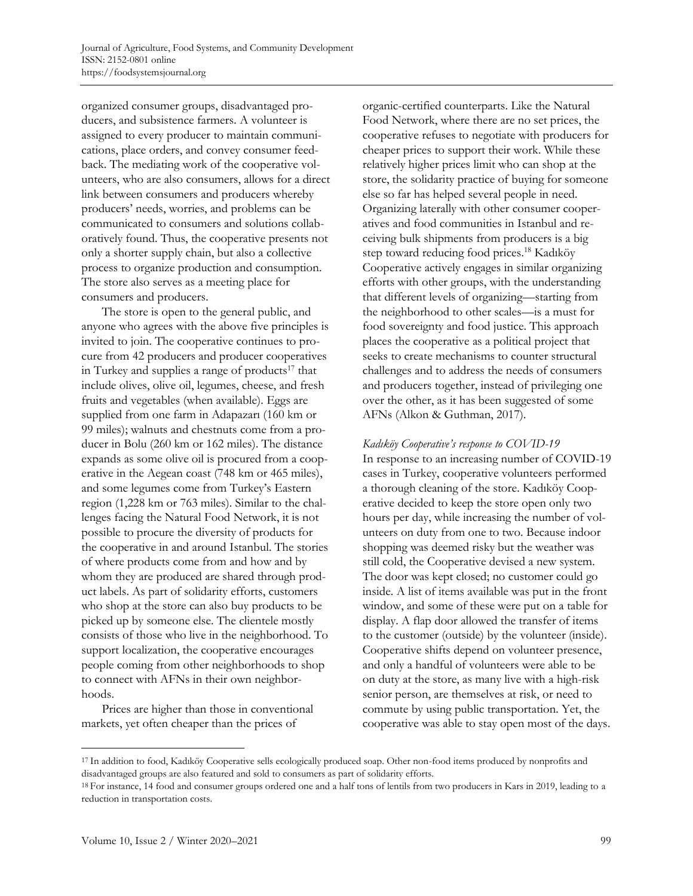organized consumer groups, disadvantaged producers, and subsistence farmers. A volunteer is assigned to every producer to maintain communications, place orders, and convey consumer feedback. The mediating work of the cooperative volunteers, who are also consumers, allows for a direct link between consumers and producers whereby producers' needs, worries, and problems can be communicated to consumers and solutions collaboratively found. Thus, the cooperative presents not only a shorter supply chain, but also a collective process to organize production and consumption. The store also serves as a meeting place for consumers and producers.

The store is open to the general public, and anyone who agrees with the above five principles is invited to join. The cooperative continues to procure from 42 producers and producer cooperatives in Turkey and supplies a range of products $17$  that include olives, olive oil, legumes, cheese, and fresh fruits and vegetables (when available). Eggs are supplied from one farm in Adapazarı (160 km or 99 miles); walnuts and chestnuts come from a producer in Bolu (260 km or 162 miles). The distance expands as some olive oil is procured from a cooperative in the Aegean coast (748 km or 465 miles), and some legumes come from Turkey's Eastern region (1,228 km or 763 miles). Similar to the challenges facing the Natural Food Network, it is not possible to procure the diversity of products for the cooperative in and around Istanbul. The stories of where products come from and how and by whom they are produced are shared through product labels. As part of solidarity efforts, customers who shop at the store can also buy products to be picked up by someone else. The clientele mostly consists of those who live in the neighborhood. To support localization, the cooperative encourages people coming from other neighborhoods to shop to connect with AFNs in their own neighborhoods.

Prices are higher than those in conventional markets, yet often cheaper than the prices of

organic-certified counterparts. Like the Natural Food Network, where there are no set prices, the cooperative refuses to negotiate with producers for cheaper prices to support their work. While these relatively higher prices limit who can shop at the store, the solidarity practice of buying for someone else so far has helped several people in need. Organizing laterally with other consumer cooperatives and food communities in Istanbul and receiving bulk shipments from producers is a big step toward reducing food prices. <sup>18</sup> Kadıköy Cooperative actively engages in similar organizing efforts with other groups, with the understanding that different levels of organizing—starting from the neighborhood to other scales—is a must for food sovereignty and food justice. This approach places the cooperative as a political project that seeks to create mechanisms to counter structural challenges and to address the needs of consumers and producers together, instead of privileging one over the other, as it has been suggested of some AFNs (Alkon & Guthman, 2017).

## *Kadıköy Cooperative's response to COVID-19*

In response to an increasing number of COVID-19 cases in Turkey, cooperative volunteers performed a thorough cleaning of the store. Kadıköy Cooperative decided to keep the store open only two hours per day, while increasing the number of volunteers on duty from one to two. Because indoor shopping was deemed risky but the weather was still cold, the Cooperative devised a new system. The door was kept closed; no customer could go inside. A list of items available was put in the front window, and some of these were put on a table for display. A flap door allowed the transfer of items to the customer (outside) by the volunteer (inside). Cooperative shifts depend on volunteer presence, and only a handful of volunteers were able to be on duty at the store, as many live with a high-risk senior person, are themselves at risk, or need to commute by using public transportation. Yet, the cooperative was able to stay open most of the days.

<sup>17</sup> In addition to food, Kadıköy Cooperative sells ecologically produced soap. Other non-food items produced by nonprofits and disadvantaged groups are also featured and sold to consumers as part of solidarity efforts.

<sup>18</sup> For instance, 14 food and consumer groups ordered one and a half tons of lentils from two producers in Kars in 2019, leading to a reduction in transportation costs.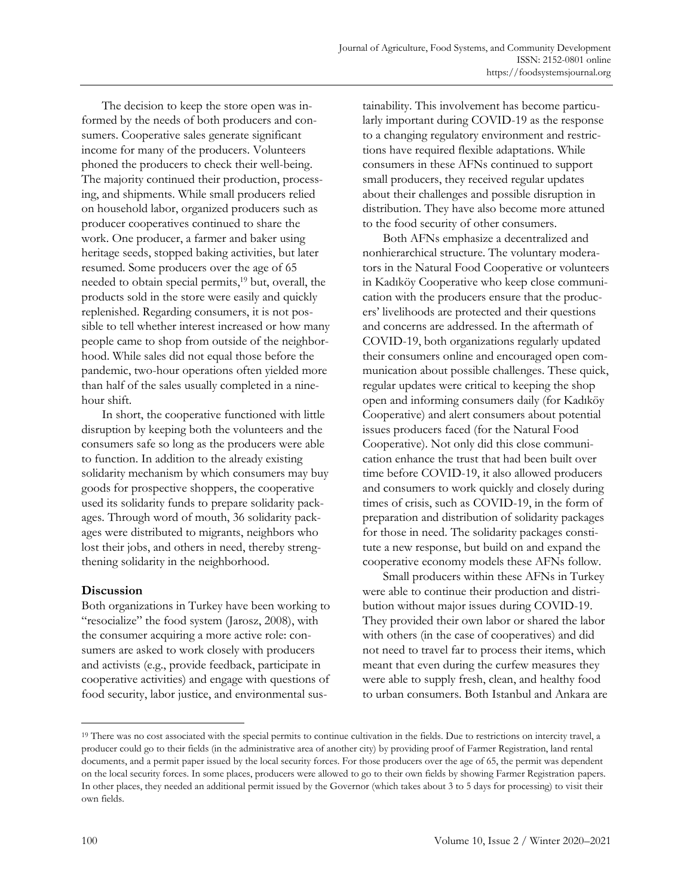The decision to keep the store open was informed by the needs of both producers and consumers. Cooperative sales generate significant income for many of the producers. Volunteers phoned the producers to check their well-being. The majority continued their production, processing, and shipments. While small producers relied on household labor, organized producers such as producer cooperatives continued to share the work. One producer, a farmer and baker using heritage seeds, stopped baking activities, but later resumed. Some producers over the age of 65 needed to obtain special permits, <sup>19</sup> but, overall, the products sold in the store were easily and quickly replenished. Regarding consumers, it is not possible to tell whether interest increased or how many people came to shop from outside of the neighborhood. While sales did not equal those before the pandemic, two-hour operations often yielded more than half of the sales usually completed in a ninehour shift.

In short, the cooperative functioned with little disruption by keeping both the volunteers and the consumers safe so long as the producers were able to function. In addition to the already existing solidarity mechanism by which consumers may buy goods for prospective shoppers, the cooperative used its solidarity funds to prepare solidarity packages. Through word of mouth, 36 solidarity packages were distributed to migrants, neighbors who lost their jobs, and others in need, thereby strengthening solidarity in the neighborhood.

## **Discussion**

Both organizations in Turkey have been working to "resocialize" the food system (Jarosz, 2008), with the consumer acquiring a more active role: consumers are asked to work closely with producers and activists (e.g., provide feedback, participate in cooperative activities) and engage with questions of food security, labor justice, and environmental sustainability. This involvement has become particularly important during COVID-19 as the response to a changing regulatory environment and restrictions have required flexible adaptations. While consumers in these AFNs continued to support small producers, they received regular updates about their challenges and possible disruption in distribution. They have also become more attuned to the food security of other consumers.

Both AFNs emphasize a decentralized and nonhierarchical structure. The voluntary moderators in the Natural Food Cooperative or volunteers in Kadıköy Cooperative who keep close communication with the producers ensure that the producers' livelihoods are protected and their questions and concerns are addressed. In the aftermath of COVID-19, both organizations regularly updated their consumers online and encouraged open communication about possible challenges. These quick, regular updates were critical to keeping the shop open and informing consumers daily (for Kadıköy Cooperative) and alert consumers about potential issues producers faced (for the Natural Food Cooperative). Not only did this close communication enhance the trust that had been built over time before COVID-19, it also allowed producers and consumers to work quickly and closely during times of crisis, such as COVID-19, in the form of preparation and distribution of solidarity packages for those in need. The solidarity packages constitute a new response, but build on and expand the cooperative economy models these AFNs follow.

Small producers within these AFNs in Turkey were able to continue their production and distribution without major issues during COVID-19. They provided their own labor or shared the labor with others (in the case of cooperatives) and did not need to travel far to process their items, which meant that even during the curfew measures they were able to supply fresh, clean, and healthy food to urban consumers. Both Istanbul and Ankara are

<sup>19</sup> There was no cost associated with the special permits to continue cultivation in the fields. Due to restrictions on intercity travel, a producer could go to their fields (in the administrative area of another city) by providing proof of Farmer Registration, land rental documents, and a permit paper issued by the local security forces. For those producers over the age of 65, the permit was dependent on the local security forces. In some places, producers were allowed to go to their own fields by showing Farmer Registration papers. In other places, they needed an additional permit issued by the Governor (which takes about 3 to 5 days for processing) to visit their own fields.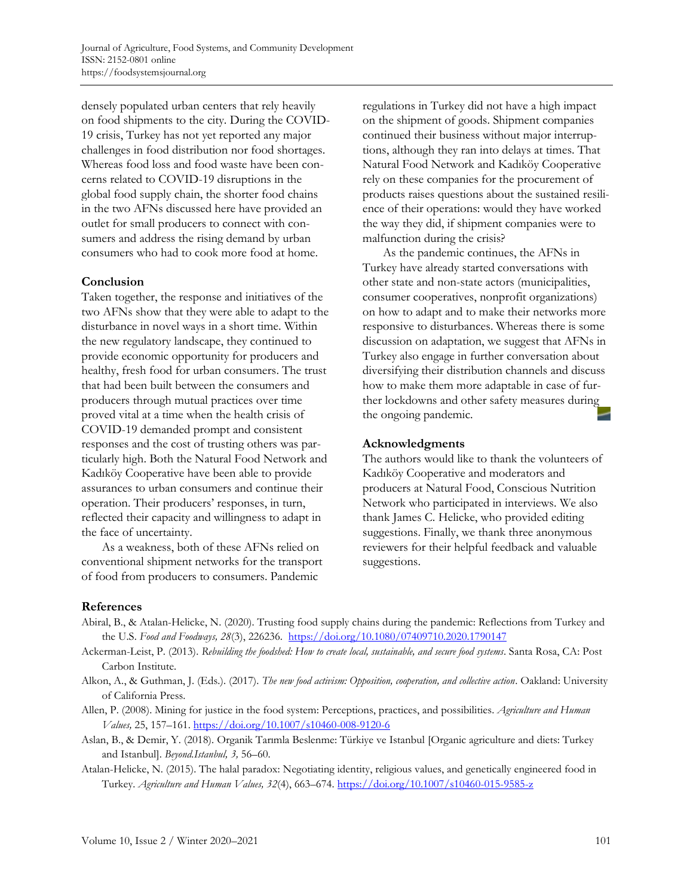densely populated urban centers that rely heavily on food shipments to the city. During the COVID-19 crisis, Turkey has not yet reported any major challenges in food distribution nor food shortages. Whereas food loss and food waste have been concerns related to COVID-19 disruptions in the global food supply chain, the shorter food chains in the two AFNs discussed here have provided an outlet for small producers to connect with consumers and address the rising demand by urban consumers who had to cook more food at home.

### **Conclusion**

Taken together, the response and initiatives of the two AFNs show that they were able to adapt to the disturbance in novel ways in a short time. Within the new regulatory landscape, they continued to provide economic opportunity for producers and healthy, fresh food for urban consumers. The trust that had been built between the consumers and producers through mutual practices over time proved vital at a time when the health crisis of COVID-19 demanded prompt and consistent responses and the cost of trusting others was particularly high. Both the Natural Food Network and Kadıköy Cooperative have been able to provide assurances to urban consumers and continue their operation. Their producers' responses, in turn, reflected their capacity and willingness to adapt in the face of uncertainty.

As a weakness, both of these AFNs relied on conventional shipment networks for the transport of food from producers to consumers. Pandemic

regulations in Turkey did not have a high impact on the shipment of goods. Shipment companies continued their business without major interruptions, although they ran into delays at times. That Natural Food Network and Kadıköy Cooperative rely on these companies for the procurement of products raises questions about the sustained resilience of their operations: would they have worked the way they did, if shipment companies were to malfunction during the crisis?

As the pandemic continues, the AFNs in Turkey have already started conversations with other state and non-state actors (municipalities, consumer cooperatives, nonprofit organizations) on how to adapt and to make their networks more responsive to disturbances. Whereas there is some discussion on adaptation, we suggest that AFNs in Turkey also engage in further conversation about diversifying their distribution channels and discuss how to make them more adaptable in case of further lockdowns and other safety measures during the ongoing pandemic.

## **Acknowledgments**

The authors would like to thank the volunteers of Kadıköy Cooperative and moderators and producers at Natural Food, Conscious Nutrition Network who participated in interviews. We also thank James C. Helicke, who provided editing suggestions. Finally, we thank three anonymous reviewers for their helpful feedback and valuable suggestions.

## **References**

- Abiral, B., & Atalan-Helicke, N. (2020). Trusting food supply chains during the pandemic: Reflections from Turkey and the U.S. *Food and Foodways, 28*(3), 226236. https://doi.org/10.1080/07409710.2020.1790147
- Ackerman-Leist, P. (2013). *Rebuilding the foodshed: How to create local, sustainable, and secure food systems*. Santa Rosa, CA: Post Carbon Institute.
- Alkon, A., & Guthman, J. (Eds.). (2017). *The new food activism: Opposition, cooperation, and collective action*. Oakland: University of California Press.
- Allen, P. (2008). Mining for justice in the food system: Perceptions, practices, and possibilities. *Agriculture and Human Values,* 25, 157–161. https://doi.org/10.1007/s10460-008-9120-6
- Aslan, B., & Demir, Y. (2018). Organik Tarımla Beslenme: Türkiye ve Istanbul [Organic agriculture and diets: Turkey and Istanbul]. *Beyond.Istanbul, 3,* 56–60.
- Atalan-Helicke, N. (2015). The halal paradox: Negotiating identity, religious values, and genetically engineered food in Turkey. *Agriculture and Human Values, 32*(4), 663–674. https://doi.org/10.1007/s10460-015-9585-z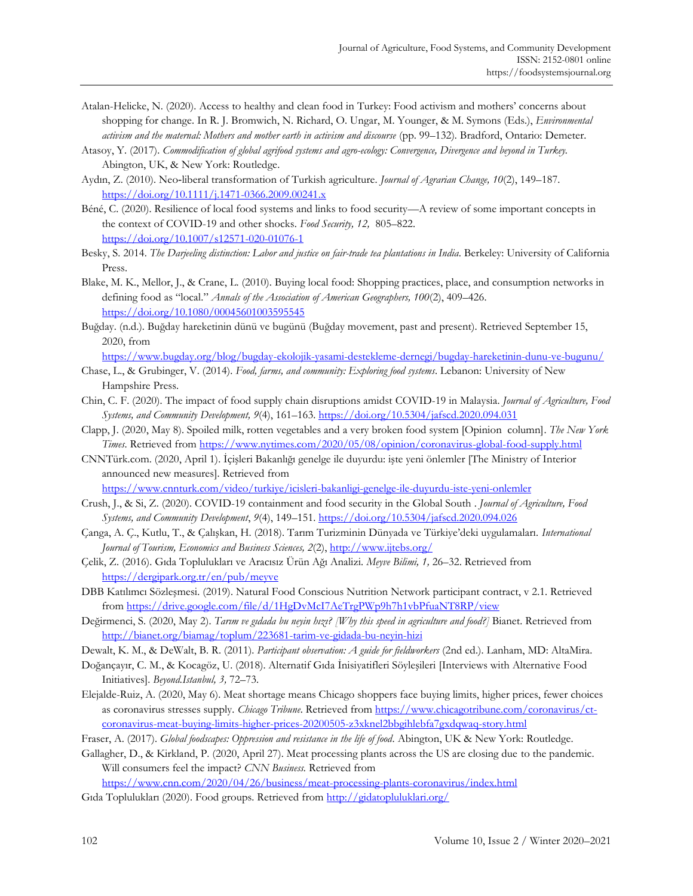- Atalan-Helicke, N. (2020). Access to healthy and clean food in Turkey: Food activism and mothers' concerns about shopping for change. In R. J. Bromwich, N. Richard, O. Ungar, M. Younger, & M. Symons (Eds.), *Environmental activism and the maternal: Mothers and mother earth in activism and discourse* (pp. 99–132)*.* Bradford, Ontario: Demeter.
- Atasoy, Y. (2017). *Commodification of global agrifood systems and agro-ecology: Convergence, Divergence and beyond in Turkey.*  Abington, UK, & New York: Routledge.
- Aydın, Z. (2010). Neo‐liberal transformation of Turkish agriculture. *Journal of Agrarian Change, 10*(2), 149–187. https://doi.org/10.1111/j.1471-0366.2009.00241.x
- Béné, C. (2020). Resilience of local food systems and links to food security—A review of some important concepts in the context of COVID-19 and other shocks. *Food Security, 12,* 805–822. https://doi.org/10.1007/s12571-020-01076-1
- Besky, S. 2014. *The Darjeeling distinction: Labor and justice on fair-trade tea plantations in India*. Berkeley: University of California Press.
- Blake, M. K., Mellor, J., & Crane, L. (2010). Buying local food: Shopping practices, place, and consumption networks in defining food as "local." *Annals of the Association of American Geographers, 100*(2), 409–426. https://doi.org/10.1080/00045601003595545
- Buğday. (n.d.). Buğday hareketinin dünü ve bugünü (Buğday movement, past and present). Retrieved September 15, 2020, from

https://www.bugday.org/blog/bugday-ekolojik-yasami-destekleme-dernegi/bugday-hareketinin-dunu-ve-bugunu/

- Chase, L., & Grubinger, V. (2014). *Food, farms, and community: Exploring food systems*. Lebanon: University of New Hampshire Press.
- Chin, C. F. (2020). The impact of food supply chain disruptions amidst COVID-19 in Malaysia. *Journal of Agriculture, Food Systems, and Community Development, 9*(4), 161–163. https://doi.org/10.5304/jafscd.2020.094.031
- Clapp, J. (2020, May 8). Spoiled milk, rotten vegetables and a very broken food system [Opinion column]. *The New York Times*. Retrieved from https://www.nytimes.com/2020/05/08/opinion/coronavirus-global-food-supply.html
- CNNTürk.com. (2020, April 1). İçişleri Bakanlığı genelge ile duyurdu: işte yeni önlemler [The Ministry of Interior announced new measures]. Retrieved from

https://www.cnnturk.com/video/turkiye/icisleri-bakanligi-genelge-ile-duyurdu-iste-yeni-onlemler

- Crush, J., & Si, Z. (2020). COVID-19 containment and food security in the Global South . *Journal of Agriculture, Food Systems, and Community Development*, *9*(4), 149–151. https://doi.org/10.5304/jafscd.2020.094.026
- Çanga, A. Ç., Kutlu, T., & Çalışkan, H. (2018). Tarım Turizminin Dünyada ve Türkiye'deki uygulamaları. *International Journal of Tourism, Economics and Business Sciences, 2*(2), http://www.ijtebs.org/
- Çelik, Z. (2016). Gıda Toplulukları ve Aracısız Ürün Ağı Analizi. *Meyve Bilimi, 1,* 26–32. Retrieved from https://dergipark.org.tr/en/pub/meyve
- DBB Katılımcı Sözleşmesi. (2019). Natural Food Conscious Nutrition Network participant contract, v 2.1. Retrieved from https://drive.google.com/file/d/1HgDvMcI7AeTrgPWp9h7h1vbPfuaNT8RP/view
- Değirmenci, S. (2020, May 2). *Tarım ve gıdada bu neyin hızı? [Why this speed in agriculture and food?]* Bianet. Retrieved from http://bianet.org/biamag/toplum/223681-tarim-ve-gidada-bu-neyin-hizi
- Dewalt, K. M., & DeWalt, B. R. (2011). *Participant observation: A guide for fieldworkers* (2nd ed.). Lanham, MD: AltaMira.
- Doğançayır, C. M., & Kocagöz, U. (2018). Alternatif Gıda İnisiyatifleri Söyleşileri [Interviews with Alternative Food Initiatives]. *Beyond.Istanbul, 3,* 72–73.
- Elejalde-Ruiz, A. (2020, May 6). Meat shortage means Chicago shoppers face buying limits, higher prices, fewer choices as coronavirus stresses supply. *Chicago Tribune*. Retrieved from https://www.chicagotribune.com/coronavirus/ct[coronavirus-meat-buying-limits-higher-prices-20200505-z3xknel2bbgihlebfa7gxdqwaq-story.html](https://www.chicagotribune.com/coronavirus/ct-coronavirus-meat-buying-limits-higher-prices-20200505-z3xknel2bbgihlebfa7gxdqwaq-story.html)
- Fraser, A. (2017). *Global foodscapes: Oppression and resistance in the life of food*. Abington, UK & New York: Routledge.

Gallagher, D., & Kirkland, P. (2020, April 27). Meat processing plants across the US are closing due to the pandemic. Will consumers feel the impact? *CNN Business.* Retrieved from

https://www.cnn.com/2020/04/26/business/meat-processing-plants-coronavirus/index.html Gıda Toplulukları (2020). Food groups. Retrieved from http://gidatopluluklari.org/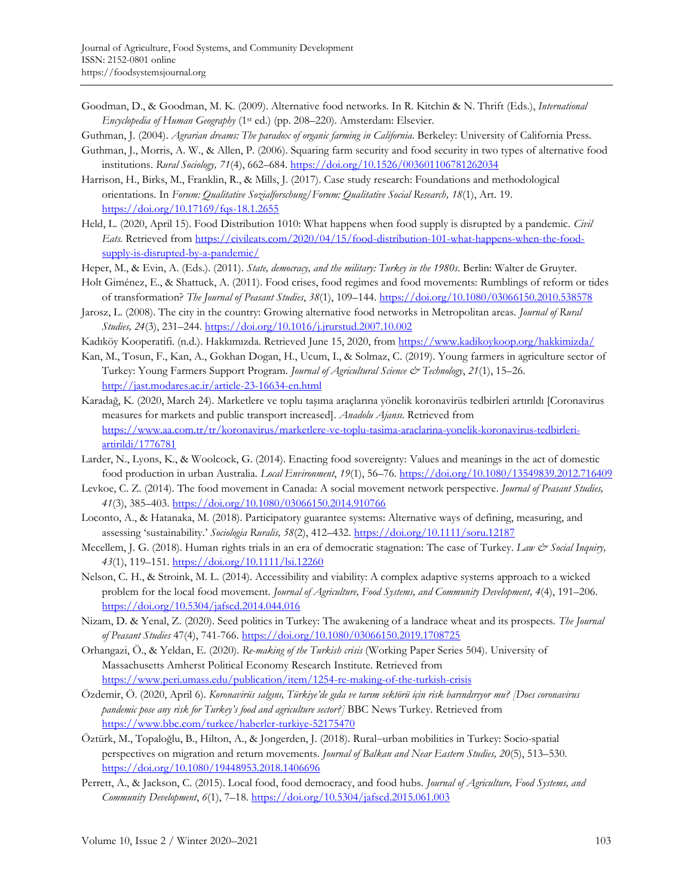- Goodman, D., & Goodman, M. K. (2009). Alternative food networks. In R. Kitchin & N. Thrift (Eds.), *International Encyclopedia of Human Geography* (1st ed.) (pp. 208–220). Amsterdam: Elsevier.
- Guthman, J. (2004). *Agrarian dreams: The paradox of organic farming in California*. Berkeley: University of California Press.
- Guthman, J., Morris, A. W., & Allen, P. (2006). Squaring farm security and food security in two types of alternative food institutions. *Rural Sociology, 71*(4), 662–684. https://doi.org/10.1526/003601106781262034
- Harrison, H., Birks, M., Franklin, R., & Mills, J. (2017). Case study research: Foundations and methodological orientations. In *Forum: Qualitative Sozialforschung/Forum: Qualitative Social Research, 18*(1), Art. 19. https://doi.org/10.17169/fqs-18.1.2655
- Held, L. (2020, April 15). Food Distribution 1010: What happens when food supply is disrupted by a pandemic. *Civil Eats.* [Retrieved from https://civileats.com/2020/04/15/food-distribution-101-what-happens-when-the-food](https://civileats.com/2020/04/15/food-distribution-101-what-happens-when-the-food-supply-is-disrupted-by-a-pandemic/)supply-is-disrupted-by-a-pandemic/
- Heper, M., & Evin, A. (Eds.). (2011). *State, democracy, and the military: Turkey in the 1980s*. Berlin: Walter de Gruyter.
- Holt Giménez, E., & Shattuck, A. (2011). Food crises, food regimes and food movements: Rumblings of reform or tides of transformation? *The Journal of Peasant Studies*, *38*(1), 109–144. https://doi.org/10.1080/03066150.2010.538578
- Jarosz, L. (2008). The city in the country: Growing alternative food networks in Metropolitan areas. *Journal of Rural Studies, 24*(3), 231–244. https://doi.org/10.1016/j.jrurstud.2007.10.002
- Kadıköy Kooperatifi. (n.d.). Hakkımızda. Retrieved June 15, 2020, from https://www.kadikoykoop.org/hakkimizda/
- Kan, M., Tosun, F., Kan, A., Gokhan Dogan, H., Ucum, I., & Solmaz, C. (2019). Young farmers in agriculture sector of Turkey: Young Farmers Support Program. *Journal of Agricultural Science & Technology*, *21*(1), 15–26. http://jast.modares.ac.ir/article-23-16634-en.html
- Karadağ, K. (2020, March 24). Marketlere ve toplu taşıma araçlarına yönelik koronavirüs tedbirleri artırıldı [Coronavirus measures for markets and public transport increased]. *Anadolu Ajansı*. Retrieved from [https://www.aa.com.tr/tr/koronavirus/marketlere-ve-toplu-tasima-araclarina-yonelik-koronavirus-tedbirleri](https://www.aa.com.tr/tr/koronavirus/marketlere-ve-toplu-tasima-araclarina-yonelik-koronavirus-tedbirleri-artirildi/1776781)artirildi/1776781
- Larder, N., Lyons, K., & Woolcock, G. (2014). Enacting food sovereignty: Values and meanings in the act of domestic food production in urban Australia. *Local Environment*, *19*(1), 56–76. https://doi.org/10.1080/13549839.2012.716409
- Levkoe, C. Z. (2014). The food movement in Canada: A social movement network perspective. *Journal of Peasant Studies, 41*(3), 385–403. https://doi.org/10.1080/03066150.2014.910766
- Loconto, A., & Hatanaka, M. (2018). Participatory guarantee systems: Alternative ways of defining, measuring, and assessing 'sustainability.' *Sociologia Ruralis, 58*(2), 412–432. https://doi.org/10.1111/soru.12187
- Mecellem, J. G. (2018). Human rights trials in an era of democratic stagnation: The case of Turkey. *Law & Social Inquiry*, *43*(1), 119–151. https://doi.org/10.1111/lsi.12260
- Nelson, C. H., & Stroink, M. L. (2014). Accessibility and viability: A complex adaptive systems approach to a wicked problem for the local food movement. *Journal of Agriculture, Food Systems, and Community Development, 4*(4), 191–206. https://doi.org/10.5304/jafscd.2014.044.016
- Nizam, D. & Yenal, Z. (2020). Seed politics in Turkey: The awakening of a landrace wheat and its prospects. *The Journal of Peasant Studies* 47(4), 741-766. https://doi.org/10.1080/03066150.2019.1708725
- Orhangazi, Ö., & Yeldan, E. (2020). *Re-making of the Turkish crisis* (Working Paper Series 504). University of Massachusetts Amherst Political Economy Research Institute. Retrieved from https://www.peri.umass.edu/publication/item/1254-re-making-of-the-turkish-crisis
- Özdemir, Ö. (2020, April 6). *Koronavirüs salgını, Türkiye'de gıda ve tarım sektörü için risk barındırıyor mu? [Does coronavirus pandemic pose any risk for Turkey's food and agriculture sector?]* BBC News Turkey. Retrieved from https://www.bbc.com/turkce/haberler-turkiye-52175470
- Öztürk, M., Topaloğlu, B., Hilton, A., & Jongerden, J. (2018). Rural‒urban mobilities in Turkey: Socio-spatial perspectives on migration and return movements. *Journal of Balkan and Near Eastern Studies, 20*(5), 513–530. https://doi.org/10.1080/19448953.2018.1406696
- Perrett, A., & Jackson, C. (2015). Local food, food democracy, and food hubs. *Journal of Agriculture, Food Systems, and Community Development*, *6*(1), 7–18. https://doi.org/10.5304/jafscd.2015.061.003